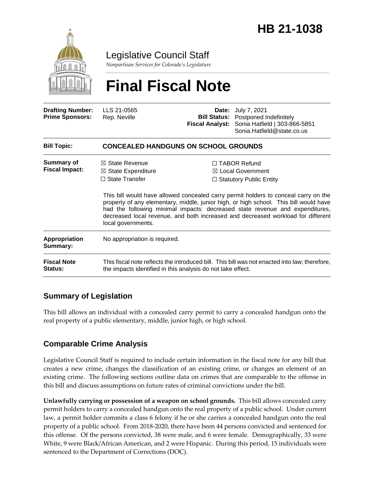

Legislative Council Staff

*Nonpartisan Services for Colorado's Legislature*

# **Final Fiscal Note**

| <b>Drafting Number:</b><br><b>Prime Sponsors:</b> | LLS 21-0565<br>Rep. Neville                                                                                                                                                                                                                                                                                                                                            | <b>Bill Status:</b><br><b>Fiscal Analyst:</b> | <b>Date:</b> July 7, 2021<br>Postponed Indefinitely<br>Sonia Hatfield   303-866-5851<br>Sonia.Hatfield@state.co.us |  |
|---------------------------------------------------|------------------------------------------------------------------------------------------------------------------------------------------------------------------------------------------------------------------------------------------------------------------------------------------------------------------------------------------------------------------------|-----------------------------------------------|--------------------------------------------------------------------------------------------------------------------|--|
| <b>Bill Topic:</b>                                | <b>CONCEALED HANDGUNS ON SCHOOL GROUNDS</b>                                                                                                                                                                                                                                                                                                                            |                                               |                                                                                                                    |  |
| <b>Summary of</b>                                 | $\boxtimes$ State Revenue                                                                                                                                                                                                                                                                                                                                              |                                               | $\Box$ TABOR Refund                                                                                                |  |
| <b>Fiscal Impact:</b>                             | $\boxtimes$ State Expenditure                                                                                                                                                                                                                                                                                                                                          |                                               | $\boxtimes$ Local Government                                                                                       |  |
|                                                   | $\Box$ State Transfer                                                                                                                                                                                                                                                                                                                                                  | $\Box$ Statutory Public Entity                |                                                                                                                    |  |
|                                                   | This bill would have allowed concealed carry permit holders to conceal carry on the<br>property of any elementary, middle, junior high, or high school. This bill would have<br>had the following minimal impacts: decreased state revenue and expenditures,<br>decreased local revenue, and both increased and decreased workload for different<br>local governments. |                                               |                                                                                                                    |  |
| <b>Appropriation</b><br>Summary:                  | No appropriation is required.                                                                                                                                                                                                                                                                                                                                          |                                               |                                                                                                                    |  |
| <b>Fiscal Note</b><br>Status:                     | This fiscal note reflects the introduced bill. This bill was not enacted into law; therefore,<br>the impacts identified in this analysis do not take effect.                                                                                                                                                                                                           |                                               |                                                                                                                    |  |
|                                                   |                                                                                                                                                                                                                                                                                                                                                                        |                                               |                                                                                                                    |  |

## **Summary of Legislation**

This bill allows an individual with a concealed carry permit to carry a concealed handgun onto the real property of a public elementary, middle, junior high, or high school.

## **Comparable Crime Analysis**

Legislative Council Staff is required to include certain information in the fiscal note for any bill that creates a new crime, changes the classification of an existing crime, or changes an element of an existing crime. The following sections outline data on crimes that are comparable to the offense in this bill and discuss assumptions on future rates of criminal convictions under the bill.

**Unlawfully carrying or possession of a weapon on school grounds.** This bill allows concealed carry permit holders to carry a concealed handgun onto the real property of a public school. Under current law, a permit holder commits a class 6 felony if he or she carries a concealed handgun onto the real property of a public school. From 2018-2020, there have been 44 persons convicted and sentenced for this offense. Of the persons convicted, 38 were male, and 6 were female. Demographically, 33 were White, 9 were Black/African American, and 2 were Hispanic. During this period, 15 individuals were sentenced to the Department of Corrections (DOC).